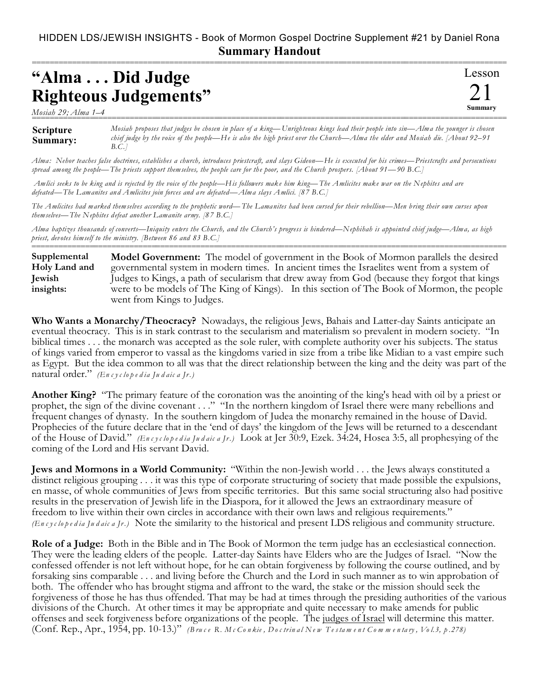## HIDDEN LDS/JEWISH INSIGHTS - Book of Mormon Gospel Doctrine Supplement #21 by Daniel Rona **Summary Handout**

===========================================================================================================

## **"Alma . . . Did Judge Righteous Judgements"**

*Mosiah 29; Alma 1–4* ===========================================================================================================

Lesson 21 **Summary**

**Scripture Summary:** *Mosiah proposes that judges be chosen in place of a king—Unrighteous kings lead their people into sin—Alma the younger is chosen chief judge by the voice of the people—He is also the high priest over the Church—Alma the elder and Mosiah die. [About 92–91 B.C.]*

*Alma: Nehor teaches false doctrines, establishes a church, introduces priestcraft, and slays Gideon—He is executed for his crimes—Priestcrafts and persecutions spread among the people—The priests support themselves, the people care for the poor, and the Church prospers. [About 91—90 B.C.]*

 *Amlici seeks to be king and is rejected by the voice of the people—His followers make him king—The Amlicites make war on the Nephites and are defeated—The Lamanites and Amlicites join forces and are defeated—Alma slays Amlici. [87 B.C.]*

*The Amlicites had marked themselves according to the prophetic word—The Lamanites had been cursed for their rebellion—Men bring their own curses upon themselves—The Nephites defeat another Lamanite army. [87 B.C.]*

*Alma baptizes thousands of converts—Iniquity enters the Church, and the Church's progress is hindered—Nephihah is appointed chief judge—Alma, as high priest, devotes himself to the ministry. [Between 86 and 83 B.C.]* ===========================================================================================================

**Model Government:** The model of government in the Book of Mormon parallels the desired governmental system in modern times. In ancient times the Israelites went from a system of Judges to Kings, a path of secularism that drew away from God (because they forgot that kings were to be models of The King of Kings). In this section of The Book of Mormon, the people went from Kings to Judges. **Supplemental Holy Land and Jewish insights:**

**Who Wants a Monarchy/Theocracy?** Nowadays, the religious Jews, Bahais and Latter-day Saints anticipate an eventual theocracy. This is in stark contrast to the secularism and materialism so prevalent in modern society. "In biblical times . . . the monarch was accepted as the sole ruler, with complete authority over his subjects. The status of kings varied from emperor to vassal as the kingdoms varied in size from a tribe like Midian to a vast empire such as Egypt. But the idea common to all was that the direct relationship between the king and the deity was part of the natural order." *(En c y c lo p e d ia Ju d aic a Jr.)*

**Another King?** "The primary feature of the coronation was the anointing of the king's head with oil by a priest or prophet, the sign of the divine covenant . . ." "In the northern kingdom of Israel there were many rebellions and frequent changes of dynasty. In the southern kingdom of Judea the monarchy remained in the house of David. Prophecies of the future declare that in the 'end of days' the kingdom of the Jews will be returned to a descendant of the House of David." *(En c y c lo p e d ia Ju d aic a Jr.)* Look at Jer 30:9, Ezek. 34:24, Hosea 3:5, all prophesying of the coming of the Lord and His servant David.

**Jews and Mormons in a World Community:** "Within the non-Jewish world . . . the Jews always constituted a distinct religious grouping . . . it was this type of corporate structuring of society that made possible the expulsions, en masse, of whole communities of Jews from specific territories. But this same social structuring also had positive results in the preservation of Jewish life in the Diaspora, for it allowed the Jews an extraordinary measure of freedom to live within their own circles in accordance with their own laws and religious requirements." *(En c y c lo p e d ia Ju d aic a Jr.)* Note the similarity to the historical and present LDS religious and community structure.

**Role of a Judge:** Both in the Bible and in The Book of Mormon the term judge has an ecclesiastical connection. They were the leading elders of the people. Latter-day Saints have Elders who are the Judges of Israel. "Now the confessed offender is not left without hope, for he can obtain forgiveness by following the course outlined, and by forsaking sins comparable . . . and living before the Church and the Lord in such manner as to win approbation of both. The offender who has brought stigma and affront to the ward, the stake or the mission should seek the forgiveness of those he has thus offended. That may be had at times through the presiding authorities of the various divisions of the Church. At other times it may be appropriate and quite necessary to make amends for public offenses and seek forgiveness before organizations of the people. The judges of Israel will determine this matter. (Conf. Rep., Apr., 1954, pp. 10-13.)" (Bruce R. McConkie, Doctrinal New Testament Commentary, Vol.3, p.278)